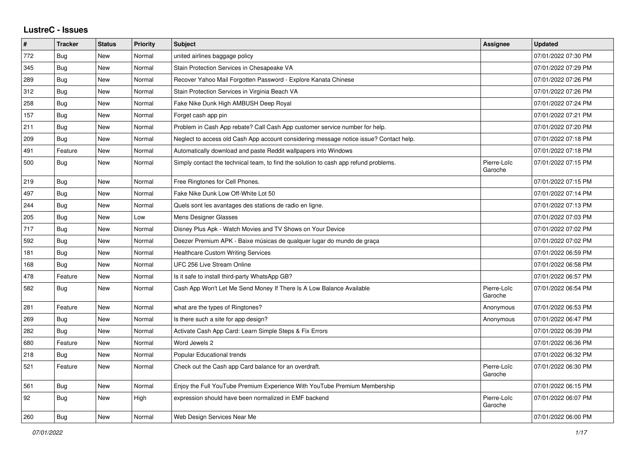## **LustreC - Issues**

| #   | <b>Tracker</b> | <b>Status</b> | Priority | <b>Subject</b>                                                                         | Assignee               | <b>Updated</b>      |
|-----|----------------|---------------|----------|----------------------------------------------------------------------------------------|------------------------|---------------------|
| 772 | Bug            | New           | Normal   | united airlines baggage policy                                                         |                        | 07/01/2022 07:30 PM |
| 345 | Bug            | New           | Normal   | Stain Protection Services in Chesapeake VA                                             |                        | 07/01/2022 07:29 PM |
| 289 | Bug            | New           | Normal   | Recover Yahoo Mail Forgotten Password - Explore Kanata Chinese                         |                        | 07/01/2022 07:26 PM |
| 312 | Bug            | New           | Normal   | Stain Protection Services in Virginia Beach VA                                         |                        | 07/01/2022 07:26 PM |
| 258 | Bug            | New           | Normal   | Fake Nike Dunk High AMBUSH Deep Royal                                                  |                        | 07/01/2022 07:24 PM |
| 157 | Bug            | New           | Normal   | Forget cash app pin                                                                    |                        | 07/01/2022 07:21 PM |
| 211 | Bug            | New           | Normal   | Problem in Cash App rebate? Call Cash App customer service number for help.            |                        | 07/01/2022 07:20 PM |
| 209 | Bug            | <b>New</b>    | Normal   | Neglect to access old Cash App account considering message notice issue? Contact help. |                        | 07/01/2022 07:18 PM |
| 491 | Feature        | New           | Normal   | Automatically download and paste Reddit wallpapers into Windows                        |                        | 07/01/2022 07:18 PM |
| 500 | <b>Bug</b>     | New           | Normal   | Simply contact the technical team, to find the solution to cash app refund problems.   | Pierre-Loïc<br>Garoche | 07/01/2022 07:15 PM |
| 219 | <b>Bug</b>     | New           | Normal   | Free Ringtones for Cell Phones.                                                        |                        | 07/01/2022 07:15 PM |
| 497 | Bug            | New           | Normal   | Fake Nike Dunk Low Off-White Lot 50                                                    |                        | 07/01/2022 07:14 PM |
| 244 | <b>Bug</b>     | New           | Normal   | Quels sont les avantages des stations de radio en ligne.                               |                        | 07/01/2022 07:13 PM |
| 205 | Bug            | New           | Low      | <b>Mens Designer Glasses</b>                                                           |                        | 07/01/2022 07:03 PM |
| 717 | <b>Bug</b>     | New           | Normal   | Disney Plus Apk - Watch Movies and TV Shows on Your Device                             |                        | 07/01/2022 07:02 PM |
| 592 | Bug            | New           | Normal   | Deezer Premium APK - Baixe músicas de qualquer lugar do mundo de graça                 |                        | 07/01/2022 07:02 PM |
| 181 | Bug            | New           | Normal   | <b>Healthcare Custom Writing Services</b>                                              |                        | 07/01/2022 06:59 PM |
| 168 | <b>Bug</b>     | New           | Normal   | UFC 256 Live Stream Online                                                             |                        | 07/01/2022 06:58 PM |
| 478 | Feature        | New           | Normal   | Is it safe to install third-party WhatsApp GB?                                         |                        | 07/01/2022 06:57 PM |
| 582 | <b>Bug</b>     | New           | Normal   | Cash App Won't Let Me Send Money If There Is A Low Balance Available                   | Pierre-Loïc<br>Garoche | 07/01/2022 06:54 PM |
| 281 | Feature        | <b>New</b>    | Normal   | what are the types of Ringtones?                                                       | Anonymous              | 07/01/2022 06:53 PM |
| 269 | Bug            | <b>New</b>    | Normal   | Is there such a site for app design?                                                   | Anonymous              | 07/01/2022 06:47 PM |
| 282 | Bug            | <b>New</b>    | Normal   | Activate Cash App Card: Learn Simple Steps & Fix Errors                                |                        | 07/01/2022 06:39 PM |
| 680 | Feature        | New           | Normal   | Word Jewels 2                                                                          |                        | 07/01/2022 06:36 PM |
| 218 | Bug            | New           | Normal   | Popular Educational trends                                                             |                        | 07/01/2022 06:32 PM |
| 521 | Feature        | New           | Normal   | Check out the Cash app Card balance for an overdraft.                                  | Pierre-Loïc<br>Garoche | 07/01/2022 06:30 PM |
| 561 | Bug            | New           | Normal   | Enjoy the Full YouTube Premium Experience With YouTube Premium Membership              |                        | 07/01/2022 06:15 PM |
| 92  | <b>Bug</b>     | New           | High     | expression should have been normalized in EMF backend                                  | Pierre-Loïc<br>Garoche | 07/01/2022 06:07 PM |
| 260 | Bug            | New           | Normal   | Web Design Services Near Me                                                            |                        | 07/01/2022 06:00 PM |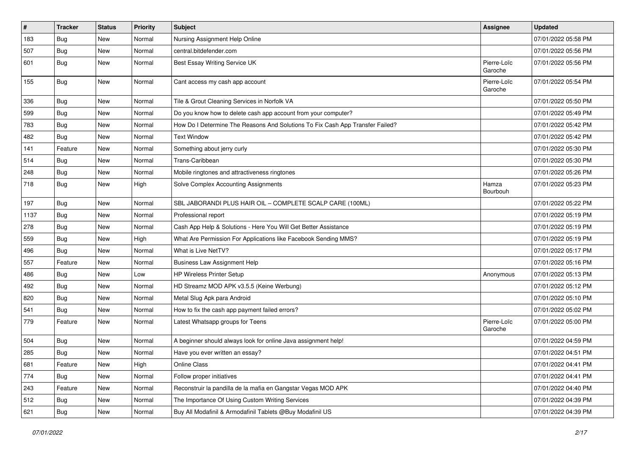| $\vert$ # | <b>Tracker</b> | <b>Status</b> | <b>Priority</b> | <b>Subject</b>                                                                | Assignee               | <b>Updated</b>      |
|-----------|----------------|---------------|-----------------|-------------------------------------------------------------------------------|------------------------|---------------------|
| 183       | <b>Bug</b>     | New           | Normal          | Nursing Assignment Help Online                                                |                        | 07/01/2022 05:58 PM |
| 507       | Bug            | New           | Normal          | central.bitdefender.com                                                       |                        | 07/01/2022 05:56 PM |
| 601       | Bug            | New           | Normal          | Best Essay Writing Service UK                                                 | Pierre-Loïc<br>Garoche | 07/01/2022 05:56 PM |
| 155       | Bug            | New           | Normal          | Cant access my cash app account                                               | Pierre-Loïc<br>Garoche | 07/01/2022 05:54 PM |
| 336       | Bug            | New           | Normal          | Tile & Grout Cleaning Services in Norfolk VA                                  |                        | 07/01/2022 05:50 PM |
| 599       | Bug            | New           | Normal          | Do you know how to delete cash app account from your computer?                |                        | 07/01/2022 05:49 PM |
| 783       | <b>Bug</b>     | New           | Normal          | How Do I Determine The Reasons And Solutions To Fix Cash App Transfer Failed? |                        | 07/01/2022 05:42 PM |
| 482       | Bug            | New           | Normal          | <b>Text Window</b>                                                            |                        | 07/01/2022 05:42 PM |
| 141       | Feature        | New           | Normal          | Something about jerry curly                                                   |                        | 07/01/2022 05:30 PM |
| 514       | Bug            | New           | Normal          | Trans-Caribbean                                                               |                        | 07/01/2022 05:30 PM |
| 248       | Bug            | New           | Normal          | Mobile ringtones and attractiveness ringtones                                 |                        | 07/01/2022 05:26 PM |
| 718       | Bug            | New           | High            | Solve Complex Accounting Assignments                                          | Hamza<br>Bourbouh      | 07/01/2022 05:23 PM |
| 197       | Bug            | New           | Normal          | SBL JABORANDI PLUS HAIR OIL - COMPLETE SCALP CARE (100ML)                     |                        | 07/01/2022 05:22 PM |
| 1137      | Bug            | <b>New</b>    | Normal          | Professional report                                                           |                        | 07/01/2022 05:19 PM |
| 278       | Bug            | New           | Normal          | Cash App Help & Solutions - Here You Will Get Better Assistance               |                        | 07/01/2022 05:19 PM |
| 559       | Bug            | New           | High            | What Are Permission For Applications like Facebook Sending MMS?               |                        | 07/01/2022 05:19 PM |
| 496       | Bug            | New           | Normal          | What is Live NetTV?                                                           |                        | 07/01/2022 05:17 PM |
| 557       | Feature        | New           | Normal          | <b>Business Law Assignment Help</b>                                           |                        | 07/01/2022 05:16 PM |
| 486       | <b>Bug</b>     | New           | Low             | HP Wireless Printer Setup                                                     | Anonymous              | 07/01/2022 05:13 PM |
| 492       | Bug            | New           | Normal          | HD Streamz MOD APK v3.5.5 (Keine Werbung)                                     |                        | 07/01/2022 05:12 PM |
| 820       | <b>Bug</b>     | New           | Normal          | Metal Slug Apk para Android                                                   |                        | 07/01/2022 05:10 PM |
| 541       | <b>Bug</b>     | New           | Normal          | How to fix the cash app payment failed errors?                                |                        | 07/01/2022 05:02 PM |
| 779       | Feature        | New           | Normal          | Latest Whatsapp groups for Teens                                              | Pierre-Loïc<br>Garoche | 07/01/2022 05:00 PM |
| 504       | Bug            | New           | Normal          | A beginner should always look for online Java assignment help!                |                        | 07/01/2022 04:59 PM |
| 285       | <b>Bug</b>     | New           | Normal          | Have you ever written an essay?                                               |                        | 07/01/2022 04:51 PM |
| 681       | Feature        | New           | High            | Online Class                                                                  |                        | 07/01/2022 04:41 PM |
| 774       | Bug            | New           | Normal          | Follow proper initiatives                                                     |                        | 07/01/2022 04:41 PM |
| 243       | Feature        | New           | Normal          | Reconstruir la pandilla de la mafia en Gangstar Vegas MOD APK                 |                        | 07/01/2022 04:40 PM |
| 512       | Bug            | New           | Normal          | The Importance Of Using Custom Writing Services                               |                        | 07/01/2022 04:39 PM |
| 621       | <b>Bug</b>     | New           | Normal          | Buy All Modafinil & Armodafinil Tablets @Buy Modafinil US                     |                        | 07/01/2022 04:39 PM |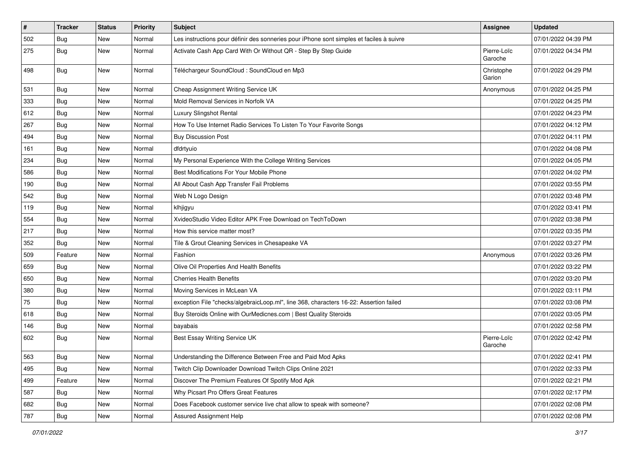| $\vert$ # | <b>Tracker</b> | <b>Status</b> | Priority | Subject                                                                                  | <b>Assignee</b>        | <b>Updated</b>      |
|-----------|----------------|---------------|----------|------------------------------------------------------------------------------------------|------------------------|---------------------|
| 502       | <b>Bug</b>     | New           | Normal   | Les instructions pour définir des sonneries pour iPhone sont simples et faciles à suivre |                        | 07/01/2022 04:39 PM |
| 275       | Bug            | New           | Normal   | Activate Cash App Card With Or Without QR - Step By Step Guide                           | Pierre-Loïc<br>Garoche | 07/01/2022 04:34 PM |
| 498       | Bug            | New           | Normal   | Téléchargeur SoundCloud : SoundCloud en Mp3                                              | Christophe<br>Garion   | 07/01/2022 04:29 PM |
| 531       | Bug            | New           | Normal   | Cheap Assignment Writing Service UK                                                      | Anonymous              | 07/01/2022 04:25 PM |
| 333       | Bug            | New           | Normal   | Mold Removal Services in Norfolk VA                                                      |                        | 07/01/2022 04:25 PM |
| 612       | Bug            | New           | Normal   | Luxury Slingshot Rental                                                                  |                        | 07/01/2022 04:23 PM |
| 267       | Bug            | New           | Normal   | How To Use Internet Radio Services To Listen To Your Favorite Songs                      |                        | 07/01/2022 04:12 PM |
| 494       | <b>Bug</b>     | New           | Normal   | <b>Buy Discussion Post</b>                                                               |                        | 07/01/2022 04:11 PM |
| 161       | Bug            | New           | Normal   | dfdrtyuio                                                                                |                        | 07/01/2022 04:08 PM |
| 234       | <b>Bug</b>     | New           | Normal   | My Personal Experience With the College Writing Services                                 |                        | 07/01/2022 04:05 PM |
| 586       | <b>Bug</b>     | New           | Normal   | Best Modifications For Your Mobile Phone                                                 |                        | 07/01/2022 04:02 PM |
| 190       | <b>Bug</b>     | New           | Normal   | All About Cash App Transfer Fail Problems                                                |                        | 07/01/2022 03:55 PM |
| 542       | Bug            | New           | Normal   | Web N Logo Design                                                                        |                        | 07/01/2022 03:48 PM |
| 119       | Bug            | New           | Normal   | klhjigyu                                                                                 |                        | 07/01/2022 03:41 PM |
| 554       | <b>Bug</b>     | New           | Normal   | XvideoStudio Video Editor APK Free Download on TechToDown                                |                        | 07/01/2022 03:38 PM |
| 217       | Bug            | New           | Normal   | How this service matter most?                                                            |                        | 07/01/2022 03:35 PM |
| 352       | <b>Bug</b>     | New           | Normal   | Tile & Grout Cleaning Services in Chesapeake VA                                          |                        | 07/01/2022 03:27 PM |
| 509       | Feature        | New           | Normal   | Fashion                                                                                  | Anonymous              | 07/01/2022 03:26 PM |
| 659       | Bug            | New           | Normal   | Olive Oil Properties And Health Benefits                                                 |                        | 07/01/2022 03:22 PM |
| 650       | Bug            | New           | Normal   | <b>Cherries Health Benefits</b>                                                          |                        | 07/01/2022 03:20 PM |
| 380       | Bug            | New           | Normal   | Moving Services in McLean VA                                                             |                        | 07/01/2022 03:11 PM |
| 75        | <b>Bug</b>     | New           | Normal   | exception File "checks/algebraicLoop.ml", line 368, characters 16-22: Assertion failed   |                        | 07/01/2022 03:08 PM |
| 618       | <b>Bug</b>     | New           | Normal   | Buy Steroids Online with OurMedicnes.com   Best Quality Steroids                         |                        | 07/01/2022 03:05 PM |
| 146       | Bug            | New           | Normal   | bayabais                                                                                 |                        | 07/01/2022 02:58 PM |
| 602       | <b>Bug</b>     | New           | Normal   | Best Essay Writing Service UK                                                            | Pierre-Loïc<br>Garoche | 07/01/2022 02:42 PM |
| 563       | Bug            | New           | Normal   | Understanding the Difference Between Free and Paid Mod Apks                              |                        | 07/01/2022 02:41 PM |
| 495       | Bug            | New           | Normal   | Twitch Clip Downloader Download Twitch Clips Online 2021                                 |                        | 07/01/2022 02:33 PM |
| 499       | Feature        | New           | Normal   | Discover The Premium Features Of Spotify Mod Apk                                         |                        | 07/01/2022 02:21 PM |
| 587       | Bug            | New           | Normal   | Why Picsart Pro Offers Great Features                                                    |                        | 07/01/2022 02:17 PM |
| 682       | Bug            | New           | Normal   | Does Facebook customer service live chat allow to speak with someone?                    |                        | 07/01/2022 02:08 PM |
| 787       | Bug            | New           | Normal   | <b>Assured Assignment Help</b>                                                           |                        | 07/01/2022 02:08 PM |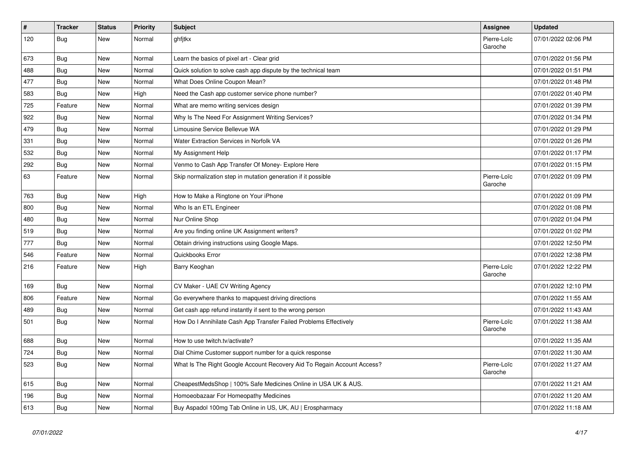| $\vert$ # | <b>Tracker</b> | <b>Status</b> | <b>Priority</b> | <b>Subject</b>                                                          | Assignee               | <b>Updated</b>      |
|-----------|----------------|---------------|-----------------|-------------------------------------------------------------------------|------------------------|---------------------|
| 120       | <b>Bug</b>     | New           | Normal          | ghfjtkx                                                                 | Pierre-Loïc<br>Garoche | 07/01/2022 02:06 PM |
| 673       | <b>Bug</b>     | New           | Normal          | Learn the basics of pixel art - Clear grid                              |                        | 07/01/2022 01:56 PM |
| 488       | <b>Bug</b>     | New           | Normal          | Quick solution to solve cash app dispute by the technical team          |                        | 07/01/2022 01:51 PM |
| 477       | <b>Bug</b>     | <b>New</b>    | Normal          | What Does Online Coupon Mean?                                           |                        | 07/01/2022 01:48 PM |
| 583       | Bug            | New           | High            | Need the Cash app customer service phone number?                        |                        | 07/01/2022 01:40 PM |
| 725       | Feature        | New           | Normal          | What are memo writing services design                                   |                        | 07/01/2022 01:39 PM |
| 922       | <b>Bug</b>     | New           | Normal          | Why Is The Need For Assignment Writing Services?                        |                        | 07/01/2022 01:34 PM |
| 479       | <b>Bug</b>     | New           | Normal          | Limousine Service Bellevue WA                                           |                        | 07/01/2022 01:29 PM |
| 331       | <b>Bug</b>     | <b>New</b>    | Normal          | Water Extraction Services in Norfolk VA                                 |                        | 07/01/2022 01:26 PM |
| 532       | <b>Bug</b>     | New           | Normal          | My Assignment Help                                                      |                        | 07/01/2022 01:17 PM |
| 292       | Bug            | <b>New</b>    | Normal          | Venmo to Cash App Transfer Of Money- Explore Here                       |                        | 07/01/2022 01:15 PM |
| 63        | Feature        | New           | Normal          | Skip normalization step in mutation generation if it possible           | Pierre-Loïc<br>Garoche | 07/01/2022 01:09 PM |
| 763       | <b>Bug</b>     | New           | High            | How to Make a Ringtone on Your iPhone                                   |                        | 07/01/2022 01:09 PM |
| 800       | Bug            | New           | Normal          | Who Is an ETL Engineer                                                  |                        | 07/01/2022 01:08 PM |
| 480       | Bug            | New           | Normal          | Nur Online Shop                                                         |                        | 07/01/2022 01:04 PM |
| 519       | <b>Bug</b>     | New           | Normal          | Are you finding online UK Assignment writers?                           |                        | 07/01/2022 01:02 PM |
| 777       | <b>Bug</b>     | New           | Normal          | Obtain driving instructions using Google Maps.                          |                        | 07/01/2022 12:50 PM |
| 546       | Feature        | New           | Normal          | Quickbooks Error                                                        |                        | 07/01/2022 12:38 PM |
| 216       | Feature        | New           | High            | Barry Keoghan                                                           | Pierre-Loïc<br>Garoche | 07/01/2022 12:22 PM |
| 169       | <b>Bug</b>     | New           | Normal          | CV Maker - UAE CV Writing Agency                                        |                        | 07/01/2022 12:10 PM |
| 806       | Feature        | New           | Normal          | Go everywhere thanks to mapquest driving directions                     |                        | 07/01/2022 11:55 AM |
| 489       | Bug            | New           | Normal          | Get cash app refund instantly if sent to the wrong person               |                        | 07/01/2022 11:43 AM |
| 501       | Bug            | New           | Normal          | How Do I Annihilate Cash App Transfer Failed Problems Effectively       | Pierre-Loïc<br>Garoche | 07/01/2022 11:38 AM |
| 688       | <b>Bug</b>     | New           | Normal          | How to use twitch.tv/activate?                                          |                        | 07/01/2022 11:35 AM |
| 724       | Bug            | New           | Normal          | Dial Chime Customer support number for a quick response                 |                        | 07/01/2022 11:30 AM |
| 523       | Bug            | New           | Normal          | What Is The Right Google Account Recovery Aid To Regain Account Access? | Pierre-Loïc<br>Garoche | 07/01/2022 11:27 AM |
| 615       | <b>Bug</b>     | <b>New</b>    | Normal          | CheapestMedsShop   100% Safe Medicines Online in USA UK & AUS.          |                        | 07/01/2022 11:21 AM |
| 196       | Bug            | New           | Normal          | Homoeobazaar For Homeopathy Medicines                                   |                        | 07/01/2022 11:20 AM |
| 613       | Bug            | New           | Normal          | Buy Aspadol 100mg Tab Online in US, UK, AU   Erospharmacy               |                        | 07/01/2022 11:18 AM |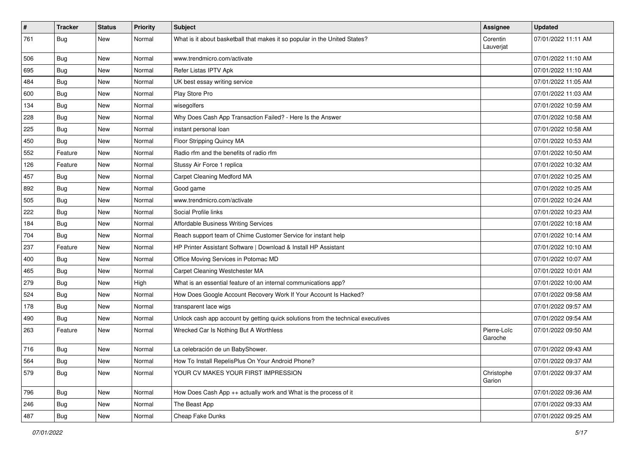| $\vert$ # | <b>Tracker</b> | <b>Status</b> | <b>Priority</b> | <b>Subject</b>                                                                   | <b>Assignee</b>        | <b>Updated</b>      |
|-----------|----------------|---------------|-----------------|----------------------------------------------------------------------------------|------------------------|---------------------|
| 761       | <b>Bug</b>     | New           | Normal          | What is it about basketball that makes it so popular in the United States?       | Corentin<br>Lauverjat  | 07/01/2022 11:11 AM |
| 506       | Bug            | New           | Normal          | www.trendmicro.com/activate                                                      |                        | 07/01/2022 11:10 AM |
| 695       | <b>Bug</b>     | New           | Normal          | Refer Listas IPTV Apk                                                            |                        | 07/01/2022 11:10 AM |
| 484       | Bug            | New           | Normal          | UK best essay writing service                                                    |                        | 07/01/2022 11:05 AM |
| 600       | <b>Bug</b>     | New           | Normal          | Play Store Pro                                                                   |                        | 07/01/2022 11:03 AM |
| 134       | <b>Bug</b>     | New           | Normal          | wisegolfers                                                                      |                        | 07/01/2022 10:59 AM |
| 228       | <b>Bug</b>     | New           | Normal          | Why Does Cash App Transaction Failed? - Here Is the Answer                       |                        | 07/01/2022 10:58 AM |
| 225       | <b>Bug</b>     | New           | Normal          | instant personal loan                                                            |                        | 07/01/2022 10:58 AM |
| 450       | <b>Bug</b>     | New           | Normal          | Floor Stripping Quincy MA                                                        |                        | 07/01/2022 10:53 AM |
| 552       | Feature        | New           | Normal          | Radio rfm and the benefits of radio rfm                                          |                        | 07/01/2022 10:50 AM |
| 126       | Feature        | New           | Normal          | Stussy Air Force 1 replica                                                       |                        | 07/01/2022 10:32 AM |
| 457       | <b>Bug</b>     | New           | Normal          | Carpet Cleaning Medford MA                                                       |                        | 07/01/2022 10:25 AM |
| 892       | <b>Bug</b>     | New           | Normal          | Good game                                                                        |                        | 07/01/2022 10:25 AM |
| 505       | <b>Bug</b>     | New           | Normal          | www.trendmicro.com/activate                                                      |                        | 07/01/2022 10:24 AM |
| 222       | <b>Bug</b>     | New           | Normal          | Social Profile links                                                             |                        | 07/01/2022 10:23 AM |
| 184       | <b>Bug</b>     | New           | Normal          | Affordable Business Writing Services                                             |                        | 07/01/2022 10:18 AM |
| 704       | <b>Bug</b>     | New           | Normal          | Reach support team of Chime Customer Service for instant help                    |                        | 07/01/2022 10:14 AM |
| 237       | Feature        | New           | Normal          | HP Printer Assistant Software   Download & Install HP Assistant                  |                        | 07/01/2022 10:10 AM |
| 400       | <b>Bug</b>     | New           | Normal          | Office Moving Services in Potomac MD                                             |                        | 07/01/2022 10:07 AM |
| 465       | <b>Bug</b>     | New           | Normal          | Carpet Cleaning Westchester MA                                                   |                        | 07/01/2022 10:01 AM |
| 279       | <b>Bug</b>     | New           | High            | What is an essential feature of an internal communications app?                  |                        | 07/01/2022 10:00 AM |
| 524       | <b>Bug</b>     | New           | Normal          | How Does Google Account Recovery Work If Your Account Is Hacked?                 |                        | 07/01/2022 09:58 AM |
| 178       | <b>Bug</b>     | New           | Normal          | transparent lace wigs                                                            |                        | 07/01/2022 09:57 AM |
| 490       | <b>Bug</b>     | New           | Normal          | Unlock cash app account by getting quick solutions from the technical executives |                        | 07/01/2022 09:54 AM |
| 263       | Feature        | New           | Normal          | Wrecked Car Is Nothing But A Worthless                                           | Pierre-Loïc<br>Garoche | 07/01/2022 09:50 AM |
| 716       | Bug            | New           | Normal          | La celebración de un BabyShower.                                                 |                        | 07/01/2022 09:43 AM |
| 564       | Bug            | New           | Normal          | How To Install RepelisPlus On Your Android Phone?                                |                        | 07/01/2022 09:37 AM |
| 579       | Bug            | New           | Normal          | YOUR CV MAKES YOUR FIRST IMPRESSION                                              | Christophe<br>Garion   | 07/01/2022 09:37 AM |
| 796       | Bug            | New           | Normal          | How Does Cash App ++ actually work and What is the process of it                 |                        | 07/01/2022 09:36 AM |
| 246       | Bug            | New           | Normal          | The Beast App                                                                    |                        | 07/01/2022 09:33 AM |
| 487       | <b>Bug</b>     | New           | Normal          | Cheap Fake Dunks                                                                 |                        | 07/01/2022 09:25 AM |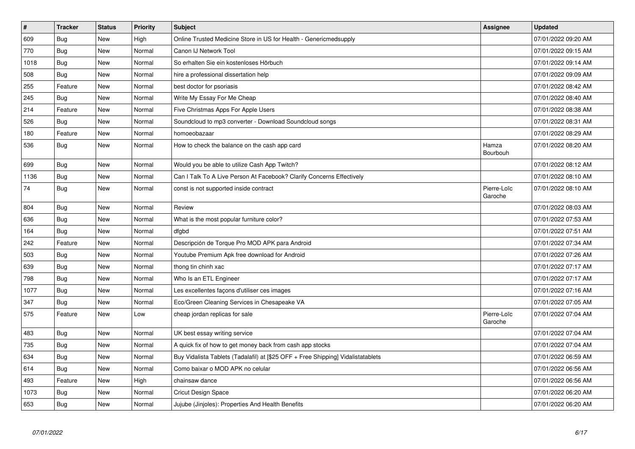| $\vert$ # | <b>Tracker</b> | <b>Status</b> | <b>Priority</b> | <b>Subject</b>                                                                   | Assignee               | <b>Updated</b>      |
|-----------|----------------|---------------|-----------------|----------------------------------------------------------------------------------|------------------------|---------------------|
| 609       | Bug            | New           | High            | Online Trusted Medicine Store in US for Health - Genericmedsupply                |                        | 07/01/2022 09:20 AM |
| 770       | Bug            | New           | Normal          | Canon IJ Network Tool                                                            |                        | 07/01/2022 09:15 AM |
| 1018      | Bug            | New           | Normal          | So erhalten Sie ein kostenloses Hörbuch                                          |                        | 07/01/2022 09:14 AM |
| 508       | Bug            | New           | Normal          | hire a professional dissertation help                                            |                        | 07/01/2022 09:09 AM |
| 255       | Feature        | New           | Normal          | best doctor for psoriasis                                                        |                        | 07/01/2022 08:42 AM |
| 245       | Bug            | New           | Normal          | Write My Essay For Me Cheap                                                      |                        | 07/01/2022 08:40 AM |
| 214       | Feature        | New           | Normal          | Five Christmas Apps For Apple Users                                              |                        | 07/01/2022 08:38 AM |
| 526       | Bug            | New           | Normal          | Soundcloud to mp3 converter - Download Soundcloud songs                          |                        | 07/01/2022 08:31 AM |
| 180       | Feature        | New           | Normal          | homoeobazaar                                                                     |                        | 07/01/2022 08:29 AM |
| 536       | Bug            | New           | Normal          | How to check the balance on the cash app card                                    | Hamza<br>Bourbouh      | 07/01/2022 08:20 AM |
| 699       | <b>Bug</b>     | <b>New</b>    | Normal          | Would you be able to utilize Cash App Twitch?                                    |                        | 07/01/2022 08:12 AM |
| 1136      | Bug            | New           | Normal          | Can I Talk To A Live Person At Facebook? Clarify Concerns Effectively            |                        | 07/01/2022 08:10 AM |
| 74        | Bug            | New           | Normal          | const is not supported inside contract                                           | Pierre-Loïc<br>Garoche | 07/01/2022 08:10 AM |
| 804       | Bug            | New           | Normal          | Review                                                                           |                        | 07/01/2022 08:03 AM |
| 636       | <b>Bug</b>     | New           | Normal          | What is the most popular furniture color?                                        |                        | 07/01/2022 07:53 AM |
| 164       | Bug            | New           | Normal          | dfgbd                                                                            |                        | 07/01/2022 07:51 AM |
| 242       | Feature        | <b>New</b>    | Normal          | Descripción de Torque Pro MOD APK para Android                                   |                        | 07/01/2022 07:34 AM |
| 503       | <b>Bug</b>     | New           | Normal          | Youtube Premium Apk free download for Android                                    |                        | 07/01/2022 07:26 AM |
| 639       | Bug            | New           | Normal          | thong tin chinh xac                                                              |                        | 07/01/2022 07:17 AM |
| 798       | Bug            | <b>New</b>    | Normal          | Who Is an ETL Engineer                                                           |                        | 07/01/2022 07:17 AM |
| 1077      | Bug            | New           | Normal          | Les excellentes façons d'utiliser ces images                                     |                        | 07/01/2022 07:16 AM |
| 347       | <b>Bug</b>     | New           | Normal          | Eco/Green Cleaning Services in Chesapeake VA                                     |                        | 07/01/2022 07:05 AM |
| 575       | Feature        | New           | Low             | cheap jordan replicas for sale                                                   | Pierre-Loïc<br>Garoche | 07/01/2022 07:04 AM |
| 483       | <b>Bug</b>     | New           | Normal          | UK best essay writing service                                                    |                        | 07/01/2022 07:04 AM |
| 735       | Bug            | New           | Normal          | A quick fix of how to get money back from cash app stocks                        |                        | 07/01/2022 07:04 AM |
| 634       | <b>Bug</b>     | New           | Normal          | Buy Vidalista Tablets (Tadalafil) at [\$25 OFF + Free Shipping] Vidalistatablets |                        | 07/01/2022 06:59 AM |
| 614       | Bug            | New           | Normal          | Como baixar o MOD APK no celular                                                 |                        | 07/01/2022 06:56 AM |
| 493       | Feature        | New           | High            | chainsaw dance                                                                   |                        | 07/01/2022 06:56 AM |
| 1073      | Bug            | New           | Normal          | <b>Cricut Design Space</b>                                                       |                        | 07/01/2022 06:20 AM |
| 653       | <b>Bug</b>     | New           | Normal          | Jujube (Jinjoles): Properties And Health Benefits                                |                        | 07/01/2022 06:20 AM |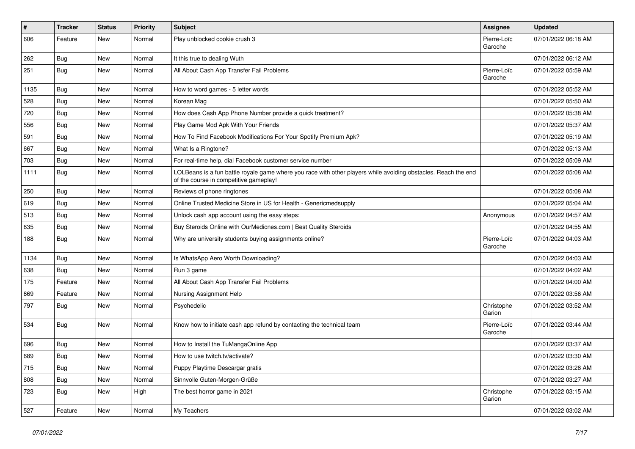| $\sharp$ | <b>Tracker</b> | <b>Status</b> | <b>Priority</b> | <b>Subject</b>                                                                                                                                           | <b>Assignee</b>        | <b>Updated</b>      |
|----------|----------------|---------------|-----------------|----------------------------------------------------------------------------------------------------------------------------------------------------------|------------------------|---------------------|
| 606      | Feature        | New           | Normal          | Play unblocked cookie crush 3                                                                                                                            | Pierre-Loïc<br>Garoche | 07/01/2022 06:18 AM |
| 262      | <b>Bug</b>     | New           | Normal          | It this true to dealing Wuth                                                                                                                             |                        | 07/01/2022 06:12 AM |
| 251      | <b>Bug</b>     | New           | Normal          | All About Cash App Transfer Fail Problems                                                                                                                | Pierre-Loïc<br>Garoche | 07/01/2022 05:59 AM |
| 1135     | Bug            | New           | Normal          | How to word games - 5 letter words                                                                                                                       |                        | 07/01/2022 05:52 AM |
| 528      | Bug            | New           | Normal          | Korean Mag                                                                                                                                               |                        | 07/01/2022 05:50 AM |
| 720      | Bug            | New           | Normal          | How does Cash App Phone Number provide a quick treatment?                                                                                                |                        | 07/01/2022 05:38 AM |
| 556      | <b>Bug</b>     | New           | Normal          | Play Game Mod Apk With Your Friends                                                                                                                      |                        | 07/01/2022 05:37 AM |
| 591      | Bug            | New           | Normal          | How To Find Facebook Modifications For Your Spotify Premium Apk?                                                                                         |                        | 07/01/2022 05:19 AM |
| 667      | <b>Bug</b>     | New           | Normal          | What Is a Ringtone?                                                                                                                                      |                        | 07/01/2022 05:13 AM |
| 703      | Bug            | New           | Normal          | For real-time help, dial Facebook customer service number                                                                                                |                        | 07/01/2022 05:09 AM |
| 1111     | Bug            | New           | Normal          | LOLBeans is a fun battle royale game where you race with other players while avoiding obstacles. Reach the end<br>of the course in competitive gameplay! |                        | 07/01/2022 05:08 AM |
| 250      | Bug            | New           | Normal          | Reviews of phone ringtones                                                                                                                               |                        | 07/01/2022 05:08 AM |
| 619      | <b>Bug</b>     | New           | Normal          | Online Trusted Medicine Store in US for Health - Genericmedsupply                                                                                        |                        | 07/01/2022 05:04 AM |
| 513      | <b>Bug</b>     | New           | Normal          | Unlock cash app account using the easy steps:                                                                                                            | Anonymous              | 07/01/2022 04:57 AM |
| 635      | Bug            | New           | Normal          | Buy Steroids Online with OurMedicnes.com   Best Quality Steroids                                                                                         |                        | 07/01/2022 04:55 AM |
| 188      | Bug            | New           | Normal          | Why are university students buying assignments online?                                                                                                   | Pierre-Loïc<br>Garoche | 07/01/2022 04:03 AM |
| 1134     | Bug            | New           | Normal          | Is WhatsApp Aero Worth Downloading?                                                                                                                      |                        | 07/01/2022 04:03 AM |
| 638      | Bug            | New           | Normal          | Run 3 game                                                                                                                                               |                        | 07/01/2022 04:02 AM |
| 175      | Feature        | New           | Normal          | All About Cash App Transfer Fail Problems                                                                                                                |                        | 07/01/2022 04:00 AM |
| 669      | Feature        | New           | Normal          | Nursing Assignment Help                                                                                                                                  |                        | 07/01/2022 03:56 AM |
| 797      | Bug            | New           | Normal          | Psychedelic                                                                                                                                              | Christophe<br>Garion   | 07/01/2022 03:52 AM |
| 534      | Bug            | New           | Normal          | Know how to initiate cash app refund by contacting the technical team                                                                                    | Pierre-Loïc<br>Garoche | 07/01/2022 03:44 AM |
| 696      | <b>Bug</b>     | New           | Normal          | How to Install the TuMangaOnline App                                                                                                                     |                        | 07/01/2022 03:37 AM |
| 689      | Bug            | New           | Normal          | How to use twitch ty/activate?                                                                                                                           |                        | 07/01/2022 03:30 AM |
| 715      | Bug            | New           | Normal          | Puppy Playtime Descargar gratis                                                                                                                          |                        | 07/01/2022 03:28 AM |
| 808      | Bug            | New           | Normal          | Sinnvolle Guten-Morgen-Grüße                                                                                                                             |                        | 07/01/2022 03:27 AM |
| 723      | Bug            | New           | High            | The best horror game in 2021                                                                                                                             | Christophe<br>Garion   | 07/01/2022 03:15 AM |
| 527      | Feature        | New           | Normal          | My Teachers                                                                                                                                              |                        | 07/01/2022 03:02 AM |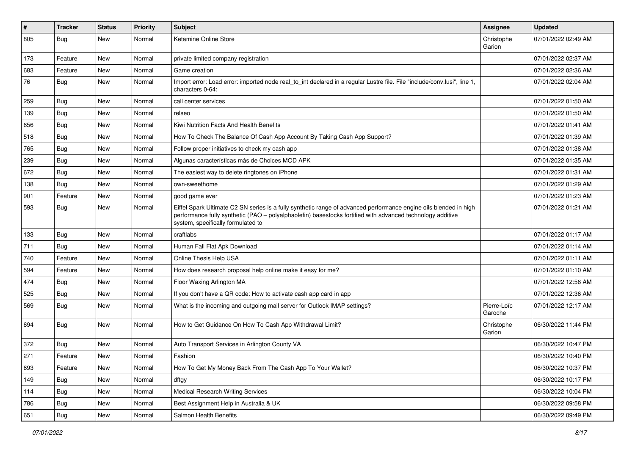| #   | Tracker    | <b>Status</b> | <b>Priority</b> | <b>Subject</b>                                                                                                                                                                                                                                                        | Assignee               | <b>Updated</b>      |
|-----|------------|---------------|-----------------|-----------------------------------------------------------------------------------------------------------------------------------------------------------------------------------------------------------------------------------------------------------------------|------------------------|---------------------|
| 805 | <b>Bug</b> | New           | Normal          | Ketamine Online Store                                                                                                                                                                                                                                                 | Christophe<br>Garion   | 07/01/2022 02:49 AM |
| 173 | Feature    | New           | Normal          | private limited company registration                                                                                                                                                                                                                                  |                        | 07/01/2022 02:37 AM |
| 683 | Feature    | New           | Normal          | Game creation                                                                                                                                                                                                                                                         |                        | 07/01/2022 02:36 AM |
| 76  | Bug        | New           | Normal          | Import error: Load error: imported node real to int declared in a regular Lustre file. File "include/conv.lusi", line 1,<br>characters 0-64:                                                                                                                          |                        | 07/01/2022 02:04 AM |
| 259 | Bug        | New           | Normal          | call center services                                                                                                                                                                                                                                                  |                        | 07/01/2022 01:50 AM |
| 139 | Bug        | New           | Normal          | relseo                                                                                                                                                                                                                                                                |                        | 07/01/2022 01:50 AM |
| 656 | Bug        | New           | Normal          | Kiwi Nutrition Facts And Health Benefits                                                                                                                                                                                                                              |                        | 07/01/2022 01:41 AM |
| 518 | <b>Bug</b> | New           | Normal          | How To Check The Balance Of Cash App Account By Taking Cash App Support?                                                                                                                                                                                              |                        | 07/01/2022 01:39 AM |
| 765 | Bug        | New           | Normal          | Follow proper initiatives to check my cash app                                                                                                                                                                                                                        |                        | 07/01/2022 01:38 AM |
| 239 | <b>Bug</b> | New           | Normal          | Algunas características más de Choices MOD APK                                                                                                                                                                                                                        |                        | 07/01/2022 01:35 AM |
| 672 | Bug        | New           | Normal          | The easiest way to delete ringtones on iPhone                                                                                                                                                                                                                         |                        | 07/01/2022 01:31 AM |
| 138 | Bug        | New           | Normal          | own-sweethome                                                                                                                                                                                                                                                         |                        | 07/01/2022 01:29 AM |
| 901 | Feature    | <b>New</b>    | Normal          | good game ever                                                                                                                                                                                                                                                        |                        | 07/01/2022 01:23 AM |
| 593 | Bug        | New           | Normal          | Eiffel Spark Ultimate C2 SN series is a fully synthetic range of advanced performance engine oils blended in high<br>performance fully synthetic (PAO – polyalphaolefin) basestocks fortified with advanced technology additive<br>system, specifically formulated to |                        | 07/01/2022 01:21 AM |
| 133 | <b>Bug</b> | New           | Normal          | craftlabs                                                                                                                                                                                                                                                             |                        | 07/01/2022 01:17 AM |
| 711 | <b>Bug</b> | New           | Normal          | Human Fall Flat Apk Download                                                                                                                                                                                                                                          |                        | 07/01/2022 01:14 AM |
| 740 | Feature    | <b>New</b>    | Normal          | Online Thesis Help USA                                                                                                                                                                                                                                                |                        | 07/01/2022 01:11 AM |
| 594 | Feature    | New           | Normal          | How does research proposal help online make it easy for me?                                                                                                                                                                                                           |                        | 07/01/2022 01:10 AM |
| 474 | <b>Bug</b> | New           | Normal          | Floor Waxing Arlington MA                                                                                                                                                                                                                                             |                        | 07/01/2022 12:56 AM |
| 525 | Bug        | New           | Normal          | If you don't have a QR code: How to activate cash app card in app                                                                                                                                                                                                     |                        | 07/01/2022 12:36 AM |
| 569 | <b>Bug</b> | New           | Normal          | What is the incoming and outgoing mail server for Outlook IMAP settings?                                                                                                                                                                                              | Pierre-Loïc<br>Garoche | 07/01/2022 12:17 AM |
| 694 | Bug        | New           | Normal          | How to Get Guidance On How To Cash App Withdrawal Limit?                                                                                                                                                                                                              | Christophe<br>Garion   | 06/30/2022 11:44 PM |
| 372 | <b>Bug</b> | New           | Normal          | Auto Transport Services in Arlington County VA                                                                                                                                                                                                                        |                        | 06/30/2022 10:47 PM |
| 271 | Feature    | New           | Normal          | Fashion                                                                                                                                                                                                                                                               |                        | 06/30/2022 10:40 PM |
| 693 | Feature    | New           | Normal          | How To Get My Money Back From The Cash App To Your Wallet?                                                                                                                                                                                                            |                        | 06/30/2022 10:37 PM |
| 149 | Bug        | New           | Normal          | dftgy                                                                                                                                                                                                                                                                 |                        | 06/30/2022 10:17 PM |
| 114 | <b>Bug</b> | New           | Normal          | <b>Medical Research Writing Services</b>                                                                                                                                                                                                                              |                        | 06/30/2022 10:04 PM |
| 786 | Bug        | New           | Normal          | Best Assignment Help in Australia & UK                                                                                                                                                                                                                                |                        | 06/30/2022 09:58 PM |
| 651 | Bug        | New           | Normal          | Salmon Health Benefits                                                                                                                                                                                                                                                |                        | 06/30/2022 09:49 PM |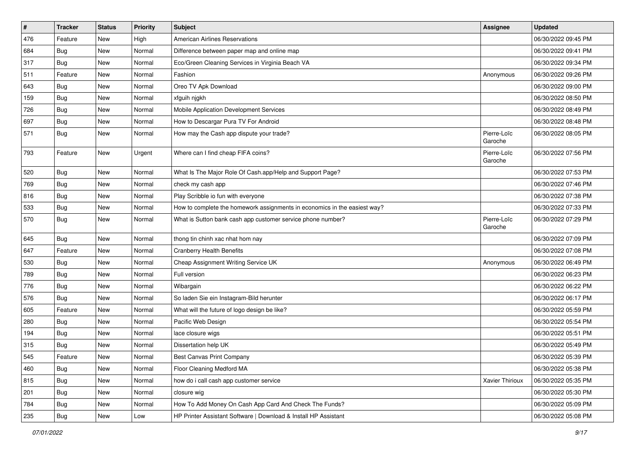| $\sharp$ | <b>Tracker</b> | <b>Status</b> | <b>Priority</b> | Subject                                                                   | <b>Assignee</b>        | <b>Updated</b>      |
|----------|----------------|---------------|-----------------|---------------------------------------------------------------------------|------------------------|---------------------|
| 476      | Feature        | New           | High            | <b>American Airlines Reservations</b>                                     |                        | 06/30/2022 09:45 PM |
| 684      | Bug            | New           | Normal          | Difference between paper map and online map                               |                        | 06/30/2022 09:41 PM |
| 317      | Bug            | New           | Normal          | Eco/Green Cleaning Services in Virginia Beach VA                          |                        | 06/30/2022 09:34 PM |
| 511      | Feature        | New           | Normal          | Fashion                                                                   | Anonymous              | 06/30/2022 09:26 PM |
| 643      | <b>Bug</b>     | New           | Normal          | Oreo TV Apk Download                                                      |                        | 06/30/2022 09:00 PM |
| 159      | Bug            | New           | Normal          | xfguih njgkh                                                              |                        | 06/30/2022 08:50 PM |
| 726      | Bug            | New           | Normal          | Mobile Application Development Services                                   |                        | 06/30/2022 08:49 PM |
| 697      | <b>Bug</b>     | New           | Normal          | How to Descargar Pura TV For Android                                      |                        | 06/30/2022 08:48 PM |
| 571      | Bug            | New           | Normal          | How may the Cash app dispute your trade?                                  | Pierre-Loïc<br>Garoche | 06/30/2022 08:05 PM |
| 793      | Feature        | New           | Urgent          | Where can I find cheap FIFA coins?                                        | Pierre-Loïc<br>Garoche | 06/30/2022 07:56 PM |
| 520      | Bug            | New           | Normal          | What Is The Major Role Of Cash.app/Help and Support Page?                 |                        | 06/30/2022 07:53 PM |
| 769      | <b>Bug</b>     | New           | Normal          | check my cash app                                                         |                        | 06/30/2022 07:46 PM |
| 816      | <b>Bug</b>     | New           | Normal          | Play Scribble io fun with everyone                                        |                        | 06/30/2022 07:38 PM |
| 533      | Bug            | New           | Normal          | How to complete the homework assignments in economics in the easiest way? |                        | 06/30/2022 07:33 PM |
| 570      | <b>Bug</b>     | New           | Normal          | What is Sutton bank cash app customer service phone number?               | Pierre-Loïc<br>Garoche | 06/30/2022 07:29 PM |
| 645      | Bug            | New           | Normal          | thong tin chinh xac nhat hom nay                                          |                        | 06/30/2022 07:09 PM |
| 647      | Feature        | New           | Normal          | <b>Cranberry Health Benefits</b>                                          |                        | 06/30/2022 07:08 PM |
| 530      | Bug            | New           | Normal          | Cheap Assignment Writing Service UK                                       | Anonymous              | 06/30/2022 06:49 PM |
| 789      | <b>Bug</b>     | <b>New</b>    | Normal          | Full version                                                              |                        | 06/30/2022 06:23 PM |
| 776      | Bug            | New           | Normal          | Wibargain                                                                 |                        | 06/30/2022 06:22 PM |
| 576      | Bug            | New           | Normal          | So laden Sie ein Instagram-Bild herunter                                  |                        | 06/30/2022 06:17 PM |
| 605      | Feature        | New           | Normal          | What will the future of logo design be like?                              |                        | 06/30/2022 05:59 PM |
| 280      | Bug            | New           | Normal          | Pacific Web Design                                                        |                        | 06/30/2022 05:54 PM |
| 194      | Bug            | New           | Normal          | lace closure wigs                                                         |                        | 06/30/2022 05:51 PM |
| 315      | <b>Bug</b>     | New           | Normal          | Dissertation help UK                                                      |                        | 06/30/2022 05:49 PM |
| 545      | Feature        | New           | Normal          | Best Canvas Print Company                                                 |                        | 06/30/2022 05:39 PM |
| 460      | <b>Bug</b>     | New           | Normal          | Floor Cleaning Medford MA                                                 |                        | 06/30/2022 05:38 PM |
| 815      | Bug            | New           | Normal          | how do i call cash app customer service                                   | Xavier Thirioux        | 06/30/2022 05:35 PM |
| 201      | <b>Bug</b>     | New           | Normal          | closure wig                                                               |                        | 06/30/2022 05:30 PM |
| 784      | Bug            | New           | Normal          | How To Add Money On Cash App Card And Check The Funds?                    |                        | 06/30/2022 05:09 PM |
| 235      | <b>Bug</b>     | New           | Low             | HP Printer Assistant Software   Download & Install HP Assistant           |                        | 06/30/2022 05:08 PM |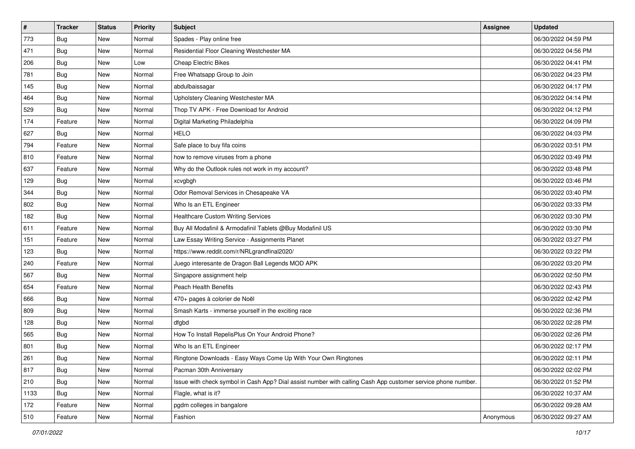| $\vert$ # | <b>Tracker</b> | <b>Status</b> | Priority | Subject                                                                                                      | <b>Assignee</b> | <b>Updated</b>      |
|-----------|----------------|---------------|----------|--------------------------------------------------------------------------------------------------------------|-----------------|---------------------|
| 773       | <b>Bug</b>     | New           | Normal   | Spades - Play online free                                                                                    |                 | 06/30/2022 04:59 PM |
| 471       | Bug            | New           | Normal   | Residential Floor Cleaning Westchester MA                                                                    |                 | 06/30/2022 04:56 PM |
| 206       | Bug            | New           | Low      | <b>Cheap Electric Bikes</b>                                                                                  |                 | 06/30/2022 04:41 PM |
| 781       | Bug            | New           | Normal   | Free Whatsapp Group to Join                                                                                  |                 | 06/30/2022 04:23 PM |
| 145       | Bug            | New           | Normal   | abdulbaissagar                                                                                               |                 | 06/30/2022 04:17 PM |
| 464       | <b>Bug</b>     | New           | Normal   | Upholstery Cleaning Westchester MA                                                                           |                 | 06/30/2022 04:14 PM |
| 529       | Bug            | New           | Normal   | Thop TV APK - Free Download for Android                                                                      |                 | 06/30/2022 04:12 PM |
| 174       | Feature        | New           | Normal   | Digital Marketing Philadelphia                                                                               |                 | 06/30/2022 04:09 PM |
| 627       | Bug            | New           | Normal   | <b>HELO</b>                                                                                                  |                 | 06/30/2022 04:03 PM |
| 794       | Feature        | New           | Normal   | Safe place to buy fifa coins                                                                                 |                 | 06/30/2022 03:51 PM |
| 810       | Feature        | New           | Normal   | how to remove viruses from a phone                                                                           |                 | 06/30/2022 03:49 PM |
| 637       | Feature        | New           | Normal   | Why do the Outlook rules not work in my account?                                                             |                 | 06/30/2022 03:48 PM |
| 129       | Bug            | New           | Normal   | xcvgbgh                                                                                                      |                 | 06/30/2022 03:46 PM |
| 344       | Bug            | New           | Normal   | Odor Removal Services in Chesapeake VA                                                                       |                 | 06/30/2022 03:40 PM |
| 802       | Bug            | New           | Normal   | Who Is an ETL Engineer                                                                                       |                 | 06/30/2022 03:33 PM |
| 182       | Bug            | New           | Normal   | <b>Healthcare Custom Writing Services</b>                                                                    |                 | 06/30/2022 03:30 PM |
| 611       | Feature        | New           | Normal   | Buy All Modafinil & Armodafinil Tablets @Buy Modafinil US                                                    |                 | 06/30/2022 03:30 PM |
| 151       | Feature        | New           | Normal   | Law Essay Writing Service - Assignments Planet                                                               |                 | 06/30/2022 03:27 PM |
| 123       | Bug            | New           | Normal   | https://www.reddit.com/r/NRLgrandfinal2020/                                                                  |                 | 06/30/2022 03:22 PM |
| 240       | Feature        | New           | Normal   | Juego interesante de Dragon Ball Legends MOD APK                                                             |                 | 06/30/2022 03:20 PM |
| 567       | Bug            | New           | Normal   | Singapore assignment help                                                                                    |                 | 06/30/2022 02:50 PM |
| 654       | Feature        | New           | Normal   | Peach Health Benefits                                                                                        |                 | 06/30/2022 02:43 PM |
| 666       | Bug            | New           | Normal   | 470+ pages à colorier de Noël                                                                                |                 | 06/30/2022 02:42 PM |
| 809       | Bug            | New           | Normal   | Smash Karts - immerse yourself in the exciting race                                                          |                 | 06/30/2022 02:36 PM |
| 128       | Bug            | New           | Normal   | dfgbd                                                                                                        |                 | 06/30/2022 02:28 PM |
| 565       | Bug            | New           | Normal   | How To Install RepelisPlus On Your Android Phone?                                                            |                 | 06/30/2022 02:26 PM |
| 801       | Bug            | New           | Normal   | Who Is an ETL Engineer                                                                                       |                 | 06/30/2022 02:17 PM |
| 261       | Bug            | New           | Normal   | Ringtone Downloads - Easy Ways Come Up With Your Own Ringtones                                               |                 | 06/30/2022 02:11 PM |
| 817       | <b>Bug</b>     | New           | Normal   | Pacman 30th Anniversary                                                                                      |                 | 06/30/2022 02:02 PM |
| 210       | Bug            | New           | Normal   | Issue with check symbol in Cash App? Dial assist number with calling Cash App customer service phone number. |                 | 06/30/2022 01:52 PM |
| 1133      | Bug            | New           | Normal   | Flagle, what is it?                                                                                          |                 | 06/30/2022 10:37 AM |
| 172       | Feature        | New           | Normal   | pgdm colleges in bangalore                                                                                   |                 | 06/30/2022 09:28 AM |
| 510       | Feature        | New           | Normal   | Fashion                                                                                                      | Anonymous       | 06/30/2022 09:27 AM |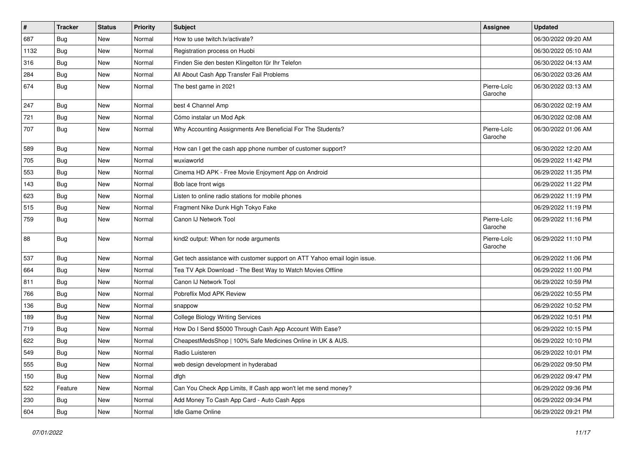| $\vert$ # | <b>Tracker</b> | <b>Status</b> | <b>Priority</b> | Subject                                                                   | Assignee               | <b>Updated</b>      |
|-----------|----------------|---------------|-----------------|---------------------------------------------------------------------------|------------------------|---------------------|
| 687       | <b>Bug</b>     | New           | Normal          | How to use twitch.tv/activate?                                            |                        | 06/30/2022 09:20 AM |
| 1132      | Bug            | New           | Normal          | Registration process on Huobi                                             |                        | 06/30/2022 05:10 AM |
| 316       | Bug            | New           | Normal          | Finden Sie den besten Klingelton für Ihr Telefon                          |                        | 06/30/2022 04:13 AM |
| 284       | Bug            | New           | Normal          | All About Cash App Transfer Fail Problems                                 |                        | 06/30/2022 03:26 AM |
| 674       | Bug            | New           | Normal          | The best game in 2021                                                     | Pierre-Loïc<br>Garoche | 06/30/2022 03:13 AM |
| 247       | Bug            | <b>New</b>    | Normal          | best 4 Channel Amp                                                        |                        | 06/30/2022 02:19 AM |
| 721       | Bug            | New           | Normal          | Cómo instalar un Mod Apk                                                  |                        | 06/30/2022 02:08 AM |
| 707       | Bug            | New           | Normal          | Why Accounting Assignments Are Beneficial For The Students?               | Pierre-Loïc<br>Garoche | 06/30/2022 01:06 AM |
| 589       | Bug            | New           | Normal          | How can I get the cash app phone number of customer support?              |                        | 06/30/2022 12:20 AM |
| 705       | Bug            | New           | Normal          | wuxiaworld                                                                |                        | 06/29/2022 11:42 PM |
| 553       | Bug            | New           | Normal          | Cinema HD APK - Free Movie Enjoyment App on Android                       |                        | 06/29/2022 11:35 PM |
| 143       | Bug            | New           | Normal          | Bob lace front wigs                                                       |                        | 06/29/2022 11:22 PM |
| 623       | Bug            | New           | Normal          | Listen to online radio stations for mobile phones                         |                        | 06/29/2022 11:19 PM |
| 515       | Bug            | New           | Normal          | Fragment Nike Dunk High Tokyo Fake                                        |                        | 06/29/2022 11:19 PM |
| 759       | Bug            | New           | Normal          | Canon IJ Network Tool                                                     | Pierre-Loïc<br>Garoche | 06/29/2022 11:16 PM |
| 88        | Bug            | New           | Normal          | kind2 output: When for node arguments                                     | Pierre-Loïc<br>Garoche | 06/29/2022 11:10 PM |
| 537       | Bug            | New           | Normal          | Get tech assistance with customer support on ATT Yahoo email login issue. |                        | 06/29/2022 11:06 PM |
| 664       | <b>Bug</b>     | New           | Normal          | Tea TV Apk Download - The Best Way to Watch Movies Offline                |                        | 06/29/2022 11:00 PM |
| 811       | Bug            | New           | Normal          | Canon IJ Network Tool                                                     |                        | 06/29/2022 10:59 PM |
| 766       | Bug            | New           | Normal          | Pobreflix Mod APK Review                                                  |                        | 06/29/2022 10:55 PM |
| 136       | Bug            | New           | Normal          | snappow                                                                   |                        | 06/29/2022 10:52 PM |
| 189       | Bug            | New           | Normal          | <b>College Biology Writing Services</b>                                   |                        | 06/29/2022 10:51 PM |
| 719       | <b>Bug</b>     | New           | Normal          | How Do I Send \$5000 Through Cash App Account With Ease?                  |                        | 06/29/2022 10:15 PM |
| 622       | Bug            | New           | Normal          | CheapestMedsShop   100% Safe Medicines Online in UK & AUS.                |                        | 06/29/2022 10:10 PM |
| 549       | Bug            | New           | Normal          | Radio Luisteren                                                           |                        | 06/29/2022 10:01 PM |
| 555       | <b>Bug</b>     | New           | Normal          | web design development in hyderabad                                       |                        | 06/29/2022 09:50 PM |
| 150       | Bug            | New           | Normal          | dfgh                                                                      |                        | 06/29/2022 09:47 PM |
| 522       | Feature        | New           | Normal          | Can You Check App Limits, If Cash app won't let me send money?            |                        | 06/29/2022 09:36 PM |
| 230       | <b>Bug</b>     | New           | Normal          | Add Money To Cash App Card - Auto Cash Apps                               |                        | 06/29/2022 09:34 PM |
| 604       | <b>Bug</b>     | New           | Normal          | Idle Game Online                                                          |                        | 06/29/2022 09:21 PM |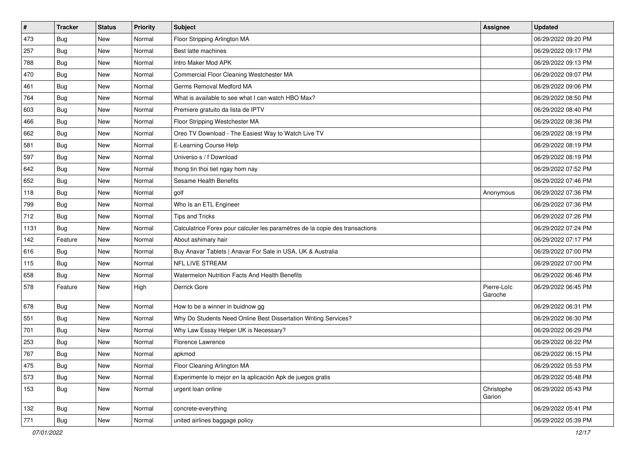| $\vert$ # | <b>Tracker</b> | <b>Status</b> | <b>Priority</b> | Subject                                                                      | <b>Assignee</b>        | <b>Updated</b>      |
|-----------|----------------|---------------|-----------------|------------------------------------------------------------------------------|------------------------|---------------------|
| 473       | <b>Bug</b>     | New           | Normal          | Floor Stripping Arlington MA                                                 |                        | 06/29/2022 09:20 PM |
| 257       | Bug            | New           | Normal          | Best latte machines                                                          |                        | 06/29/2022 09:17 PM |
| 788       | Bug            | New           | Normal          | Intro Maker Mod APK                                                          |                        | 06/29/2022 09:13 PM |
| 470       | Bug            | New           | Normal          | Commercial Floor Cleaning Westchester MA                                     |                        | 06/29/2022 09:07 PM |
| 461       | Bug            | New           | Normal          | Germs Removal Medford MA                                                     |                        | 06/29/2022 09:06 PM |
| 764       | <b>Bug</b>     | New           | Normal          | What is available to see what I can watch HBO Max?                           |                        | 06/29/2022 08:50 PM |
| 603       | Bug            | New           | Normal          | Premiere gratuito da lista de IPTV                                           |                        | 06/29/2022 08:40 PM |
| 466       | Bug            | New           | Normal          | Floor Stripping Westchester MA                                               |                        | 06/29/2022 08:36 PM |
| 662       | <b>Bug</b>     | New           | Normal          | Oreo TV Download - The Easiest Way to Watch Live TV                          |                        | 06/29/2022 08:19 PM |
| 581       | Bug            | New           | Normal          | E-Learning Course Help                                                       |                        | 06/29/2022 08:19 PM |
| 597       | <b>Bug</b>     | New           | Normal          | Universo s / f Download                                                      |                        | 06/29/2022 08:19 PM |
| 642       | <b>Bug</b>     | New           | Normal          | thong tin thoi tiet ngay hom nay                                             |                        | 06/29/2022 07:52 PM |
| 652       | Bug            | New           | Normal          | Sesame Health Benefits                                                       |                        | 06/29/2022 07:46 PM |
| 118       | Bug            | New           | Normal          | golf                                                                         | Anonymous              | 06/29/2022 07:36 PM |
| 799       | Bug            | New           | Normal          | Who Is an ETL Engineer                                                       |                        | 06/29/2022 07:36 PM |
| 712       | Bug            | New           | Normal          | <b>Tips and Tricks</b>                                                       |                        | 06/29/2022 07:26 PM |
| 1131      | <b>Bug</b>     | New           | Normal          | Calculatrice Forex pour calculer les paramètres de la copie des transactions |                        | 06/29/2022 07:24 PM |
| 142       | Feature        | New           | Normal          | About ashimary hair                                                          |                        | 06/29/2022 07:17 PM |
| 616       | Bug            | New           | Normal          | Buy Anavar Tablets   Anavar For Sale in USA, UK & Australia                  |                        | 06/29/2022 07:00 PM |
| 115       | Bug            | New           | Normal          | NFL LIVE STREAM                                                              |                        | 06/29/2022 07:00 PM |
| 658       | Bug            | New           | Normal          | Watermelon Nutrition Facts And Health Benefits                               |                        | 06/29/2022 06:46 PM |
| 578       | Feature        | New           | High            | Derrick Gore                                                                 | Pierre-Loïc<br>Garoche | 06/29/2022 06:45 PM |
| 678       | Bug            | New           | Normal          | How to be a winner in buidnow gg                                             |                        | 06/29/2022 06:31 PM |
| 551       | Bug            | New           | Normal          | Why Do Students Need Online Best Dissertation Writing Services?              |                        | 06/29/2022 06:30 PM |
| 701       | <b>Bug</b>     | New           | Normal          | Why Law Essay Helper UK is Necessary?                                        |                        | 06/29/2022 06:29 PM |
| 253       | <b>Bug</b>     | New           | Normal          | Florence Lawrence                                                            |                        | 06/29/2022 06:22 PM |
| 767       | <b>Bug</b>     | New           | Normal          | apkmod                                                                       |                        | 06/29/2022 06:15 PM |
| 475       | <b>Bug</b>     | New           | Normal          | Floor Cleaning Arlington MA                                                  |                        | 06/29/2022 05:53 PM |
| 573       | <b>Bug</b>     | New           | Normal          | Experimente lo mejor en la aplicación Apk de juegos gratis                   |                        | 06/29/2022 05:48 PM |
| 153       | <b>Bug</b>     | New           | Normal          | urgent loan online                                                           | Christophe<br>Garion   | 06/29/2022 05:43 PM |
| 132       | <b>Bug</b>     | New           | Normal          | concrete-everything                                                          |                        | 06/29/2022 05:41 PM |
| 771       | Bug            | New           | Normal          | united airlines baggage policy                                               |                        | 06/29/2022 05:39 PM |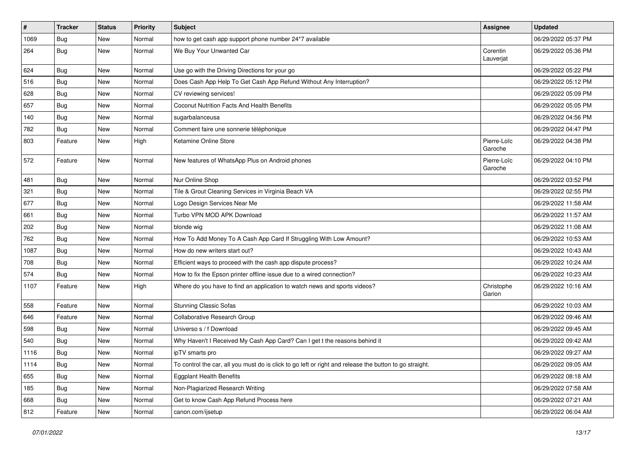| $\pmb{\#}$ | <b>Tracker</b> | <b>Status</b> | Priority | Subject                                                                                                 | <b>Assignee</b>        | <b>Updated</b>      |
|------------|----------------|---------------|----------|---------------------------------------------------------------------------------------------------------|------------------------|---------------------|
| 1069       | <b>Bug</b>     | New           | Normal   | how to get cash app support phone number 24*7 available                                                 |                        | 06/29/2022 05:37 PM |
| 264        | <b>Bug</b>     | New           | Normal   | We Buy Your Unwanted Car                                                                                | Corentin<br>Lauverjat  | 06/29/2022 05:36 PM |
| 624        | <b>Bug</b>     | New           | Normal   | Use go with the Driving Directions for your go                                                          |                        | 06/29/2022 05:22 PM |
| 516        | Bug            | <b>New</b>    | Normal   | Does Cash App Help To Get Cash App Refund Without Any Interruption?                                     |                        | 06/29/2022 05:12 PM |
| 628        | <b>Bug</b>     | New           | Normal   | CV reviewing services!                                                                                  |                        | 06/29/2022 05:09 PM |
| 657        | <b>Bug</b>     | New           | Normal   | Coconut Nutrition Facts And Health Benefits                                                             |                        | 06/29/2022 05:05 PM |
| 140        | Bug            | New           | Normal   | sugarbalanceusa                                                                                         |                        | 06/29/2022 04:56 PM |
| 782        | <b>Bug</b>     | New           | Normal   | Comment faire une sonnerie téléphonique                                                                 |                        | 06/29/2022 04:47 PM |
| 803        | Feature        | New           | High     | Ketamine Online Store                                                                                   | Pierre-Loïc<br>Garoche | 06/29/2022 04:38 PM |
| 572        | Feature        | New           | Normal   | New features of WhatsApp Plus on Android phones                                                         | Pierre-Loïc<br>Garoche | 06/29/2022 04:10 PM |
| 481        | Bug            | New           | Normal   | Nur Online Shop                                                                                         |                        | 06/29/2022 03:52 PM |
| 321        | Bug            | New           | Normal   | Tile & Grout Cleaning Services in Virginia Beach VA                                                     |                        | 06/29/2022 02:55 PM |
| 677        | Bug            | New           | Normal   | Logo Design Services Near Me                                                                            |                        | 06/29/2022 11:58 AM |
| 661        | <b>Bug</b>     | New           | Normal   | Turbo VPN MOD APK Download                                                                              |                        | 06/29/2022 11:57 AM |
| 202        | Bug            | New           | Normal   | blonde wig                                                                                              |                        | 06/29/2022 11:08 AM |
| 762        | <b>Bug</b>     | New           | Normal   | How To Add Money To A Cash App Card If Struggling With Low Amount?                                      |                        | 06/29/2022 10:53 AM |
| 1087       | Bug            | New           | Normal   | How do new writers start out?                                                                           |                        | 06/29/2022 10:43 AM |
| 708        | Bug            | <b>New</b>    | Normal   | Efficient ways to proceed with the cash app dispute process?                                            |                        | 06/29/2022 10:24 AM |
| 574        | <b>Bug</b>     | <b>New</b>    | Normal   | How to fix the Epson printer offline issue due to a wired connection?                                   |                        | 06/29/2022 10:23 AM |
| 1107       | Feature        | New           | High     | Where do you have to find an application to watch news and sports videos?                               | Christophe<br>Garion   | 06/29/2022 10:16 AM |
| 558        | Feature        | <b>New</b>    | Normal   | <b>Stunning Classic Sofas</b>                                                                           |                        | 06/29/2022 10:03 AM |
| 646        | Feature        | New           | Normal   | Collaborative Research Group                                                                            |                        | 06/29/2022 09:46 AM |
| 598        | <b>Bug</b>     | New           | Normal   | Universo s / f Download                                                                                 |                        | 06/29/2022 09:45 AM |
| 540        | Bug            | New           | Normal   | Why Haven't I Received My Cash App Card? Can I get t the reasons behind it                              |                        | 06/29/2022 09:42 AM |
| 1116       | <b>Bug</b>     | New           | Normal   | ipTV smarts pro                                                                                         |                        | 06/29/2022 09:27 AM |
| 1114       | <b>Bug</b>     | New           | Normal   | To control the car, all you must do is click to go left or right and release the button to go straight. |                        | 06/29/2022 09:05 AM |
| 655        | <b>Bug</b>     | New           | Normal   | <b>Eggplant Health Benefits</b>                                                                         |                        | 06/29/2022 08:18 AM |
| 185        | <b>Bug</b>     | New           | Normal   | Non-Plagiarized Research Writing                                                                        |                        | 06/29/2022 07:58 AM |
| 668        | <b>Bug</b>     | New           | Normal   | Get to know Cash App Refund Process here                                                                |                        | 06/29/2022 07:21 AM |
| 812        | Feature        | New           | Normal   | canon.com/ijsetup                                                                                       |                        | 06/29/2022 06:04 AM |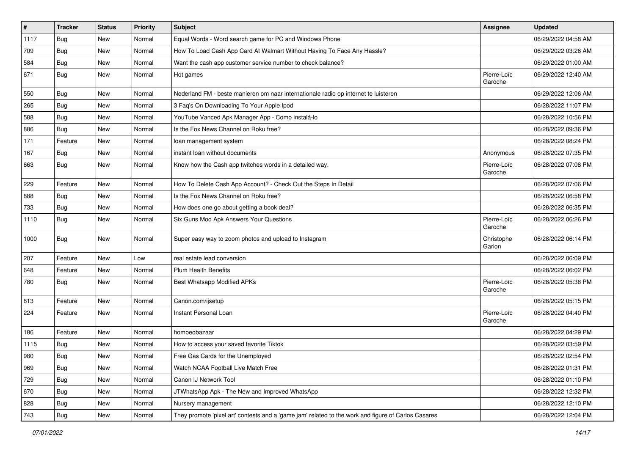| $\sharp$ | <b>Tracker</b> | <b>Status</b> | Priority | Subject                                                                                             | <b>Assignee</b>        | <b>Updated</b>      |
|----------|----------------|---------------|----------|-----------------------------------------------------------------------------------------------------|------------------------|---------------------|
| 1117     | <b>Bug</b>     | New           | Normal   | Equal Words - Word search game for PC and Windows Phone                                             |                        | 06/29/2022 04:58 AM |
| 709      | <b>Bug</b>     | New           | Normal   | How To Load Cash App Card At Walmart Without Having To Face Any Hassle?                             |                        | 06/29/2022 03:26 AM |
| 584      | <b>Bug</b>     | New           | Normal   | Want the cash app customer service number to check balance?                                         |                        | 06/29/2022 01:00 AM |
| 671      | <b>Bug</b>     | New           | Normal   | Hot games                                                                                           | Pierre-Loïc<br>Garoche | 06/29/2022 12:40 AM |
| 550      | <b>Bug</b>     | New           | Normal   | Nederland FM - beste manieren om naar internationale radio op internet te luisteren                 |                        | 06/29/2022 12:06 AM |
| 265      | Bug            | New           | Normal   | 3 Faq's On Downloading To Your Apple Ipod                                                           |                        | 06/28/2022 11:07 PM |
| 588      | Bug            | New           | Normal   | YouTube Vanced Apk Manager App - Como instalá-lo                                                    |                        | 06/28/2022 10:56 PM |
| 886      | Bug            | New           | Normal   | Is the Fox News Channel on Roku free?                                                               |                        | 06/28/2022 09:36 PM |
| 171      | Feature        | <b>New</b>    | Normal   | loan management system                                                                              |                        | 06/28/2022 08:24 PM |
| 167      | Bug            | New           | Normal   | instant loan without documents                                                                      | Anonymous              | 06/28/2022 07:35 PM |
| 663      | <b>Bug</b>     | New           | Normal   | Know how the Cash app twitches words in a detailed way.                                             | Pierre-Loïc<br>Garoche | 06/28/2022 07:08 PM |
| 229      | Feature        | <b>New</b>    | Normal   | How To Delete Cash App Account? - Check Out the Steps In Detail                                     |                        | 06/28/2022 07:06 PM |
| 888      | Bug            | New           | Normal   | Is the Fox News Channel on Roku free?                                                               |                        | 06/28/2022 06:58 PM |
| 733      | Bug            | New           | Normal   | How does one go about getting a book deal?                                                          |                        | 06/28/2022 06:35 PM |
| 1110     | <b>Bug</b>     | New           | Normal   | Six Guns Mod Apk Answers Your Questions                                                             | Pierre-Loïc<br>Garoche | 06/28/2022 06:26 PM |
| 1000     | Bug            | New           | Normal   | Super easy way to zoom photos and upload to Instagram                                               | Christophe<br>Garion   | 06/28/2022 06:14 PM |
| 207      | Feature        | New           | Low      | real estate lead conversion                                                                         |                        | 06/28/2022 06:09 PM |
| 648      | Feature        | New           | Normal   | <b>Plum Health Benefits</b>                                                                         |                        | 06/28/2022 06:02 PM |
| 780      | <b>Bug</b>     | New           | Normal   | Best Whatsapp Modified APKs                                                                         | Pierre-Loïc<br>Garoche | 06/28/2022 05:38 PM |
| 813      | Feature        | New           | Normal   | Canon.com/ijsetup                                                                                   |                        | 06/28/2022 05:15 PM |
| 224      | Feature        | New           | Normal   | Instant Personal Loan                                                                               | Pierre-Loïc<br>Garoche | 06/28/2022 04:40 PM |
| 186      | Feature        | New           | Normal   | homoeobazaar                                                                                        |                        | 06/28/2022 04:29 PM |
| 1115     | Bug            | New           | Normal   | How to access your saved favorite Tiktok                                                            |                        | 06/28/2022 03:59 PM |
| 980      | Bug            | New           | Normal   | Free Gas Cards for the Unemployed                                                                   |                        | 06/28/2022 02:54 PM |
| 969      | <b>Bug</b>     | New           | Normal   | Watch NCAA Football Live Match Free                                                                 |                        | 06/28/2022 01:31 PM |
| 729      | Bug            | New           | Normal   | Canon IJ Network Tool                                                                               |                        | 06/28/2022 01:10 PM |
| 670      | <b>Bug</b>     | New           | Normal   | JTWhatsApp Apk - The New and Improved WhatsApp                                                      |                        | 06/28/2022 12:32 PM |
| 828      | <b>Bug</b>     | New           | Normal   | Nursery management                                                                                  |                        | 06/28/2022 12:10 PM |
| 743      | Bug            | New           | Normal   | They promote 'pixel art' contests and a 'game jam' related to the work and figure of Carlos Casares |                        | 06/28/2022 12:04 PM |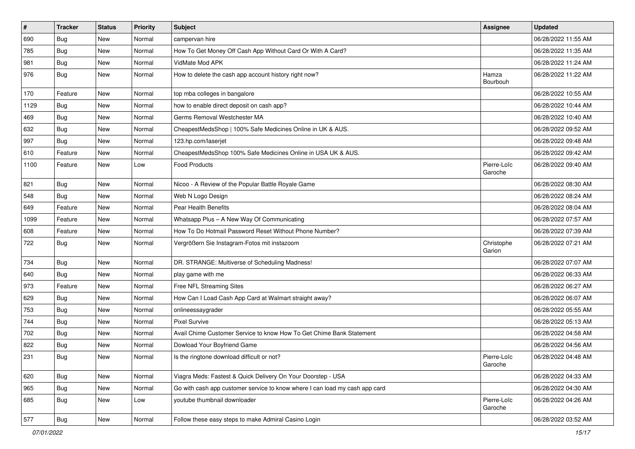| $\vert$ # | <b>Tracker</b> | <b>Status</b> | <b>Priority</b> | Subject                                                                     | <b>Assignee</b>        | <b>Updated</b>      |
|-----------|----------------|---------------|-----------------|-----------------------------------------------------------------------------|------------------------|---------------------|
| 690       | <b>Bug</b>     | New           | Normal          | campervan hire                                                              |                        | 06/28/2022 11:55 AM |
| 785       | Bug            | New           | Normal          | How To Get Money Off Cash App Without Card Or With A Card?                  |                        | 06/28/2022 11:35 AM |
| 981       | Bug            | New           | Normal          | VidMate Mod APK                                                             |                        | 06/28/2022 11:24 AM |
| 976       | Bug            | New           | Normal          | How to delete the cash app account history right now?                       | Hamza<br>Bourbouh      | 06/28/2022 11:22 AM |
| 170       | Feature        | New           | Normal          | top mba colleges in bangalore                                               |                        | 06/28/2022 10:55 AM |
| 1129      | Bug            | New           | Normal          | how to enable direct deposit on cash app?                                   |                        | 06/28/2022 10:44 AM |
| 469       | Bug            | New           | Normal          | Germs Removal Westchester MA                                                |                        | 06/28/2022 10:40 AM |
| 632       | Bug            | New           | Normal          | CheapestMedsShop   100% Safe Medicines Online in UK & AUS.                  |                        | 06/28/2022 09:52 AM |
| 997       | <b>Bug</b>     | New           | Normal          | 123.hp.com/laserjet                                                         |                        | 06/28/2022 09:48 AM |
| 610       | Feature        | New           | Normal          | CheapestMedsShop 100% Safe Medicines Online in USA UK & AUS.                |                        | 06/28/2022 09:42 AM |
| 1100      | Feature        | New           | Low             | <b>Food Products</b>                                                        | Pierre-Loïc<br>Garoche | 06/28/2022 09:40 AM |
| 821       | <b>Bug</b>     | New           | Normal          | Nicoo - A Review of the Popular Battle Royale Game                          |                        | 06/28/2022 08:30 AM |
| 548       | Bug            | New           | Normal          | Web N Logo Design                                                           |                        | 06/28/2022 08:24 AM |
| 649       | Feature        | New           | Normal          | Pear Health Benefits                                                        |                        | 06/28/2022 08:04 AM |
| 1099      | Feature        | New           | Normal          | Whatsapp Plus - A New Way Of Communicating                                  |                        | 06/28/2022 07:57 AM |
| 608       | Feature        | <b>New</b>    | Normal          | How To Do Hotmail Password Reset Without Phone Number?                      |                        | 06/28/2022 07:39 AM |
| 722       | <b>Bug</b>     | New           | Normal          | Vergrößern Sie Instagram-Fotos mit instazoom                                | Christophe<br>Garion   | 06/28/2022 07:21 AM |
| 734       | Bug            | <b>New</b>    | Normal          | DR. STRANGE: Multiverse of Scheduling Madness!                              |                        | 06/28/2022 07:07 AM |
| 640       | Bug            | New           | Normal          | play game with me                                                           |                        | 06/28/2022 06:33 AM |
| 973       | Feature        | New           | Normal          | Free NFL Streaming Sites                                                    |                        | 06/28/2022 06:27 AM |
| 629       | Bug            | New           | Normal          | How Can I Load Cash App Card at Walmart straight away?                      |                        | 06/28/2022 06:07 AM |
| 753       | <b>Bug</b>     | New           | Normal          | onlineessaygrader                                                           |                        | 06/28/2022 05:55 AM |
| 744       | <b>Bug</b>     | <b>New</b>    | Normal          | <b>Pixel Survive</b>                                                        |                        | 06/28/2022 05:13 AM |
| 702       | <b>Bug</b>     | New           | Normal          | Avail Chime Customer Service to know How To Get Chime Bank Statement        |                        | 06/28/2022 04:58 AM |
| 822       | <b>Bug</b>     | New           | Normal          | Dowload Your Boyfriend Game                                                 |                        | 06/28/2022 04:56 AM |
| 231       | Bug            | New           | Normal          | Is the ringtone download difficult or not?                                  | Pierre-Loïc<br>Garoche | 06/28/2022 04:48 AM |
| 620       | Bug            | New           | Normal          | Viagra Meds: Fastest & Quick Delivery On Your Doorstep - USA                |                        | 06/28/2022 04:33 AM |
| 965       | Bug            | New           | Normal          | Go with cash app customer service to know where I can load my cash app card |                        | 06/28/2022 04:30 AM |
| 685       | Bug            | New           | Low             | youtube thumbnail downloader                                                | Pierre-Loïc<br>Garoche | 06/28/2022 04:26 AM |
| 577       | Bug            | New           | Normal          | Follow these easy steps to make Admiral Casino Login                        |                        | 06/28/2022 03:52 AM |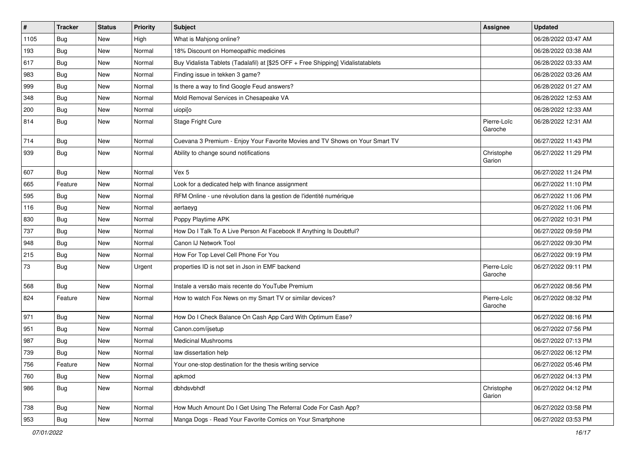| $\vert$ # | <b>Tracker</b> | <b>Status</b> | <b>Priority</b> | Subject                                                                          | <b>Assignee</b>        | <b>Updated</b>      |
|-----------|----------------|---------------|-----------------|----------------------------------------------------------------------------------|------------------------|---------------------|
| 1105      | <b>Bug</b>     | New           | High            | What is Mahjong online?                                                          |                        | 06/28/2022 03:47 AM |
| 193       | Bug            | New           | Normal          | 18% Discount on Homeopathic medicines                                            |                        | 06/28/2022 03:38 AM |
| 617       | Bug            | New           | Normal          | Buy Vidalista Tablets (Tadalafil) at [\$25 OFF + Free Shipping] Vidalistatablets |                        | 06/28/2022 03:33 AM |
| 983       | <b>Bug</b>     | New           | Normal          | Finding issue in tekken 3 game?                                                  |                        | 06/28/2022 03:26 AM |
| 999       | Bug            | New           | Normal          | Is there a way to find Google Feud answers?                                      |                        | 06/28/2022 01:27 AM |
| 348       | <b>Bug</b>     | New           | Normal          | Mold Removal Services in Chesapeake VA                                           |                        | 06/28/2022 12:53 AM |
| 200       | Bug            | New           | Normal          | uiopi[o                                                                          |                        | 06/28/2022 12:33 AM |
| 814       | Bug            | New           | Normal          | Stage Fright Cure                                                                | Pierre-Loïc<br>Garoche | 06/28/2022 12:31 AM |
| 714       | Bug            | <b>New</b>    | Normal          | Cuevana 3 Premium - Enjoy Your Favorite Movies and TV Shows on Your Smart TV     |                        | 06/27/2022 11:43 PM |
| 939       | Bug            | New           | Normal          | Ability to change sound notifications                                            | Christophe<br>Garion   | 06/27/2022 11:29 PM |
| 607       | Bug            | New           | Normal          | Vex 5                                                                            |                        | 06/27/2022 11:24 PM |
| 665       | Feature        | New           | Normal          | Look for a dedicated help with finance assignment                                |                        | 06/27/2022 11:10 PM |
| 595       | Bug            | New           | Normal          | RFM Online - une révolution dans la gestion de l'identité numérique              |                        | 06/27/2022 11:06 PM |
| 116       | Bug            | New           | Normal          | aertaeyg                                                                         |                        | 06/27/2022 11:06 PM |
| 830       | Bug            | New           | Normal          | Poppy Playtime APK                                                               |                        | 06/27/2022 10:31 PM |
| 737       | Bug            | New           | Normal          | How Do I Talk To A Live Person At Facebook If Anything Is Doubtful?              |                        | 06/27/2022 09:59 PM |
| 948       | <b>Bug</b>     | New           | Normal          | Canon IJ Network Tool                                                            |                        | 06/27/2022 09:30 PM |
| 215       | <b>Bug</b>     | New           | Normal          | How For Top Level Cell Phone For You                                             |                        | 06/27/2022 09:19 PM |
| 73        | Bug            | New           | Urgent          | properties ID is not set in Json in EMF backend                                  | Pierre-Loïc<br>Garoche | 06/27/2022 09:11 PM |
| 568       | Bug            | New           | Normal          | Instale a versão mais recente do YouTube Premium                                 |                        | 06/27/2022 08:56 PM |
| 824       | Feature        | New           | Normal          | How to watch Fox News on my Smart TV or similar devices?                         | Pierre-Loïc<br>Garoche | 06/27/2022 08:32 PM |
| 971       | Bug            | New           | Normal          | How Do I Check Balance On Cash App Card With Optimum Ease?                       |                        | 06/27/2022 08:16 PM |
| 951       | Bug            | New           | Normal          | Canon.com/ijsetup                                                                |                        | 06/27/2022 07:56 PM |
| 987       | <b>Bug</b>     | New           | Normal          | <b>Medicinal Mushrooms</b>                                                       |                        | 06/27/2022 07:13 PM |
| 739       | Bug            | New           | Normal          | law dissertation help                                                            |                        | 06/27/2022 06:12 PM |
| 756       | Feature        | New           | Normal          | Your one-stop destination for the thesis writing service                         |                        | 06/27/2022 05:46 PM |
| 760       | Bug            | New           | Normal          | apkmod                                                                           |                        | 06/27/2022 04:13 PM |
| 986       | Bug            | New           | Normal          | dbhdsvbhdf                                                                       | Christophe<br>Garion   | 06/27/2022 04:12 PM |
| 738       | Bug            | New           | Normal          | How Much Amount Do I Get Using The Referral Code For Cash App?                   |                        | 06/27/2022 03:58 PM |
| 953       | Bug            | New           | Normal          | Manga Dogs - Read Your Favorite Comics on Your Smartphone                        |                        | 06/27/2022 03:53 PM |